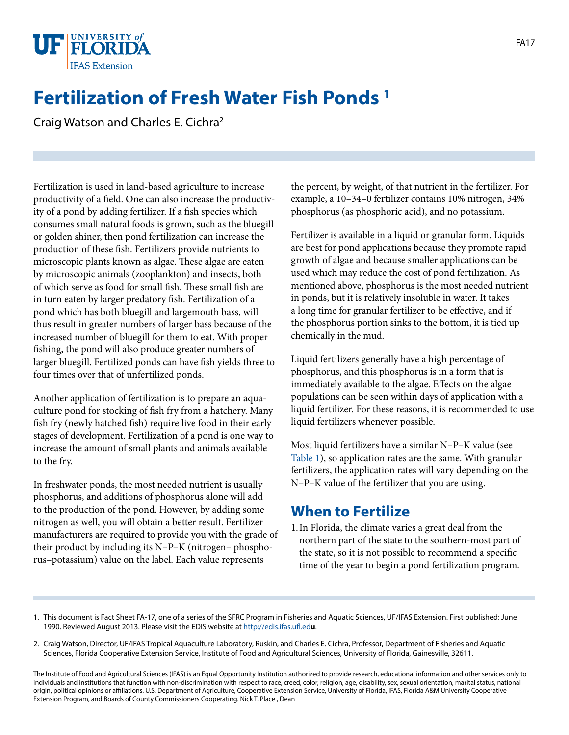

# **Fertilization of Fresh Water Fish Ponds 1**

Craig Watson and Charles E. Cichra2

Fertilization is used in land-based agriculture to increase productivity of a field. One can also increase the productivity of a pond by adding fertilizer. If a fish species which consumes small natural foods is grown, such as the bluegill or golden shiner, then pond fertilization can increase the production of these fish. Fertilizers provide nutrients to microscopic plants known as algae. These algae are eaten by microscopic animals (zooplankton) and insects, both of which serve as food for small fish. These small fish are in turn eaten by larger predatory fish. Fertilization of a pond which has both bluegill and largemouth bass, will thus result in greater numbers of larger bass because of the increased number of bluegill for them to eat. With proper fishing, the pond will also produce greater numbers of larger bluegill. Fertilized ponds can have fish yields three to four times over that of unfertilized ponds.

Another application of fertilization is to prepare an aquaculture pond for stocking of fish fry from a hatchery. Many fish fry (newly hatched fish) require live food in their early stages of development. Fertilization of a pond is one way to increase the amount of small plants and animals available to the fry.

In freshwater ponds, the most needed nutrient is usually phosphorus, and additions of phosphorus alone will add to the production of the pond. However, by adding some nitrogen as well, you will obtain a better result. Fertilizer manufacturers are required to provide you with the grade of their product by including its N–P–K (nitrogen– phosphorus–potassium) value on the label. Each value represents

the percent, by weight, of that nutrient in the fertilizer. For example, a 10–34–0 fertilizer contains 10% nitrogen, 34% phosphorus (as phosphoric acid), and no potassium.

Fertilizer is available in a liquid or granular form. Liquids are best for pond applications because they promote rapid growth of algae and because smaller applications can be used which may reduce the cost of pond fertilization. As mentioned above, phosphorus is the most needed nutrient in ponds, but it is relatively insoluble in water. It takes a long time for granular fertilizer to be effective, and if the phosphorus portion sinks to the bottom, it is tied up chemically in the mud.

Liquid fertilizers generally have a high percentage of phosphorus, and this phosphorus is in a form that is immediately available to the algae. Effects on the algae populations can be seen within days of application with a liquid fertilizer. For these reasons, it is recommended to use liquid fertilizers whenever possible.

Most liquid fertilizers have a similar N–P–K value (see [Table 1](TABLE_1_DOCUMENT_FA003)), so application rates are the same. With granular fertilizers, the application rates will vary depending on the N–P–K value of the fertilizer that you are using.

### **When to Fertilize**

- 1.In Florida, the climate varies a great deal from the northern part of the state to the southern-most part of the state, so it is not possible to recommend a specific time of the year to begin a pond fertilization program.
- 1. This document is Fact Sheet FA-17, one of a series of the SFRC Program in Fisheries and Aquatic Sciences, UF/IFAS Extension. First published: June 1990. Reviewed August 2013. Please visit the EDIS website at<http://edis.ifas.ufl.ed>**u**.
- 2. Craig Watson, Director, UF/IFAS Tropical Aquaculture Laboratory, Ruskin, and Charles E. Cichra, Professor, Department of Fisheries and Aquatic Sciences, Florida Cooperative Extension Service, Institute of Food and Agricultural Sciences, University of Florida, Gainesville, 32611.

The Institute of Food and Agricultural Sciences (IFAS) is an Equal Opportunity Institution authorized to provide research, educational information and other services only to individuals and institutions that function with non-discrimination with respect to race, creed, color, religion, age, disability, sex, sexual orientation, marital status, national origin, political opinions or affiliations. U.S. Department of Agriculture, Cooperative Extension Service, University of Florida, IFAS, Florida A&M University Cooperative Extension Program, and Boards of County Commissioners Cooperating. Nick T. Place , Dean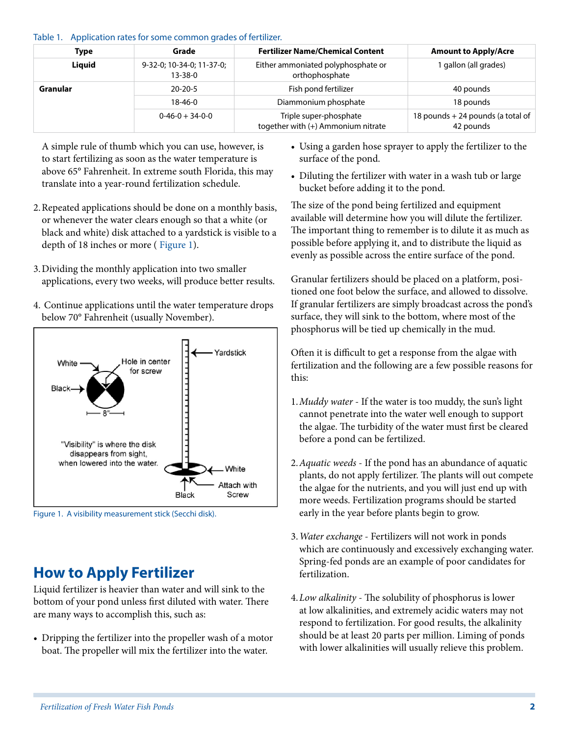#### Table 1. Application rates for some common grades of fertilizer.

| Type     | Grade                                      | <b>Fertilizer Name/Chemical Content</b>                      | <b>Amount to Apply/Acre</b>                    |
|----------|--------------------------------------------|--------------------------------------------------------------|------------------------------------------------|
| Liquid   | 9-32-0; 10-34-0; 11-37-0;<br>$13 - 38 - 0$ | Either ammoniated polyphosphate or<br>orthophosphate         | gallon (all grades)                            |
| Granular | $20 - 20 - 5$                              | Fish pond fertilizer                                         | 40 pounds                                      |
|          | $18 - 46 - 0$                              | Diammonium phosphate                                         | 18 pounds                                      |
|          | $0-46-0+34-0-0$                            | Triple super-phosphate<br>together with (+) Ammonium nitrate | 18 pounds + 24 pounds (a total of<br>42 pounds |

A simple rule of thumb which you can use, however, is to start fertilizing as soon as the water temperature is above 65° Fahrenheit. In extreme south Florida, this may translate into a year-round fertilization schedule.

- 2.Repeated applications should be done on a monthly basis, or whenever the water clears enough so that a white (or black and white) disk attached to a yardstick is visible to a depth of 18 inches or more ( [Figure 1\)](IMAGE FA:FA003F1).
- 3.Dividing the monthly application into two smaller applications, every two weeks, will produce better results.
- 4. Continue applications until the water temperature drops below 70° Fahrenheit (usually November).



Figure 1. A visibility measurement stick (Secchi disk).

### **How to Apply Fertilizer**

Liquid fertilizer is heavier than water and will sink to the bottom of your pond unless first diluted with water. There are many ways to accomplish this, such as:

• Dripping the fertilizer into the propeller wash of a motor boat. The propeller will mix the fertilizer into the water.

- Using a garden hose sprayer to apply the fertilizer to the surface of the pond.
- Diluting the fertilizer with water in a wash tub or large bucket before adding it to the pond.

The size of the pond being fertilized and equipment available will determine how you will dilute the fertilizer. The important thing to remember is to dilute it as much as possible before applying it, and to distribute the liquid as evenly as possible across the entire surface of the pond.

Granular fertilizers should be placed on a platform, positioned one foot below the surface, and allowed to dissolve. If granular fertilizers are simply broadcast across the pond's surface, they will sink to the bottom, where most of the phosphorus will be tied up chemically in the mud.

Often it is difficult to get a response from the algae with fertilization and the following are a few possible reasons for this:

- 1.*Muddy water* If the water is too muddy, the sun's light cannot penetrate into the water well enough to support the algae. The turbidity of the water must first be cleared before a pond can be fertilized.
- 2.*Aquatic weeds* If the pond has an abundance of aquatic plants, do not apply fertilizer. The plants will out compete the algae for the nutrients, and you will just end up with more weeds. Fertilization programs should be started early in the year before plants begin to grow.
- 3.*Water exchange* Fertilizers will not work in ponds which are continuously and excessively exchanging water. Spring-fed ponds are an example of poor candidates for fertilization.
- 4.*Low alkalinity* The solubility of phosphorus is lower at low alkalinities, and extremely acidic waters may not respond to fertilization. For good results, the alkalinity should be at least 20 parts per million. Liming of ponds with lower alkalinities will usually relieve this problem.